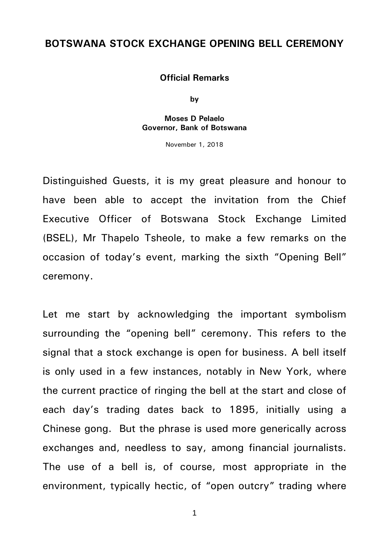## **BOTSWANA STOCK EXCHANGE OPENING BELL CEREMONY**

## **Official Remarks**

**by**

## **Moses D Pelaelo Governor, Bank of Botswana**

November 1, 2018

Distinguished Guests, it is my great pleasure and honour to have been able to accept the invitation from the Chief Executive Officer of Botswana Stock Exchange Limited (BSEL), Mr Thapelo Tsheole, to make a few remarks on the occasion of today's event, marking the sixth "Opening Bell" ceremony.

Let me start by acknowledging the important symbolism surrounding the "opening bell" ceremony. This refers to the signal that a stock exchange is open for business. A bell itself is only used in a few instances, notably in New York, where the current practice of ringing the bell at the start and close of each day's trading dates back to 1895, initially using a Chinese gong. But the phrase is used more generically across exchanges and, needless to say, among financial journalists. The use of a bell is, of course, most appropriate in the environment, typically hectic, of "open outcry" trading where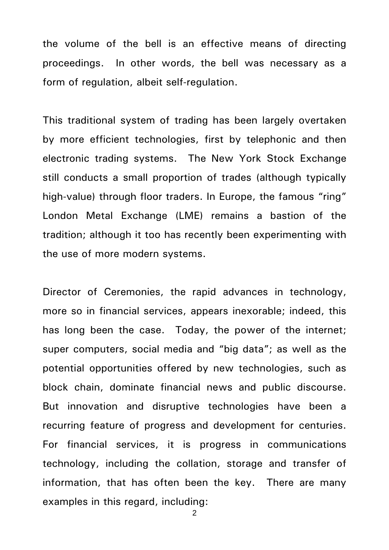the volume of the bell is an effective means of directing proceedings. In other words, the bell was necessary as a form of regulation, albeit self-regulation.

This traditional system of trading has been largely overtaken by more efficient technologies, first by telephonic and then electronic trading systems. The New York Stock Exchange still conducts a small proportion of trades (although typically high-value) through floor traders. In Europe, the famous "ring" London Metal Exchange (LME) remains a bastion of the tradition; although it too has recently been experimenting with the use of more modern systems.

Director of Ceremonies, the rapid advances in technology, more so in financial services, appears inexorable; indeed, this has long been the case. Today, the power of the internet; super computers, social media and "big data"; as well as the potential opportunities offered by new technologies, such as block chain, dominate financial news and public discourse. But innovation and disruptive technologies have been a recurring feature of progress and development for centuries. For financial services, it is progress in communications technology, including the collation, storage and transfer of information, that has often been the key. There are many examples in this regard, including: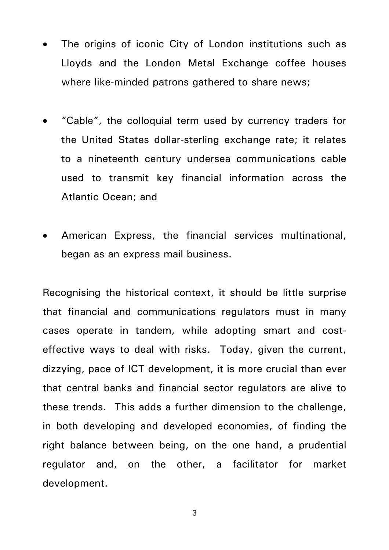- The origins of iconic City of London institutions such as Lloyds and the London Metal Exchange coffee houses where like-minded patrons gathered to share news;
- "Cable", the colloquial term used by currency traders for the United States dollar-sterling exchange rate; it relates to a nineteenth century undersea communications cable used to transmit key financial information across the Atlantic Ocean; and
- American Express, the financial services multinational, began as an express mail business.

Recognising the historical context, it should be little surprise that financial and communications regulators must in many cases operate in tandem, while adopting smart and costeffective ways to deal with risks. Today, given the current, dizzying, pace of ICT development, it is more crucial than ever that central banks and financial sector regulators are alive to these trends. This adds a further dimension to the challenge, in both developing and developed economies, of finding the right balance between being, on the one hand, a prudential regulator and, on the other, a facilitator for market development.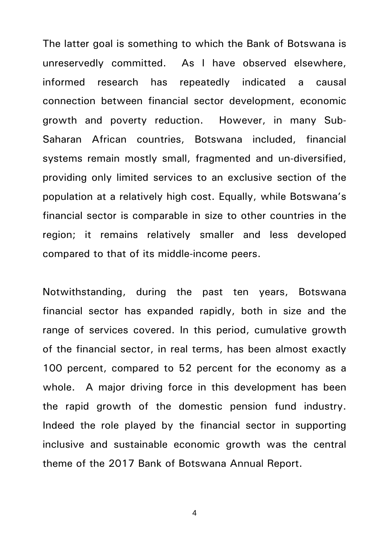The latter goal is something to which the Bank of Botswana is unreservedly committed. As I have observed elsewhere, informed research has repeatedly indicated a causal connection between financial sector development, economic growth and poverty reduction. However, in many Sub-Saharan African countries, Botswana included, financial systems remain mostly small, fragmented and un-diversified, providing only limited services to an exclusive section of the population at a relatively high cost. Equally, while Botswana's financial sector is comparable in size to other countries in the region; it remains relatively smaller and less developed compared to that of its middle-income peers.

Notwithstanding, during the past ten years, Botswana financial sector has expanded rapidly, both in size and the range of services covered. In this period, cumulative growth of the financial sector, in real terms, has been almost exactly 100 percent, compared to 52 percent for the economy as a whole. A major driving force in this development has been the rapid growth of the domestic pension fund industry. Indeed the role played by the financial sector in supporting inclusive and sustainable economic growth was the central theme of the 2017 Bank of Botswana Annual Report.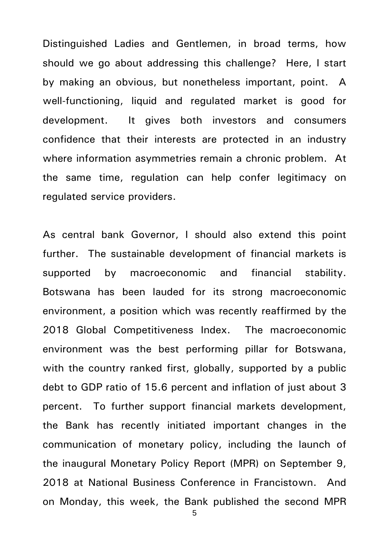Distinguished Ladies and Gentlemen, in broad terms, how should we go about addressing this challenge? Here, I start by making an obvious, but nonetheless important, point. A well-functioning, liquid and regulated market is good for development. It gives both investors and consumers confidence that their interests are protected in an industry where information asymmetries remain a chronic problem. At the same time, regulation can help confer legitimacy on regulated service providers.

As central bank Governor, I should also extend this point further. The sustainable development of financial markets is supported by macroeconomic and financial stability. Botswana has been lauded for its strong macroeconomic environment, a position which was recently reaffirmed by the 2018 Global Competitiveness Index. The macroeconomic environment was the best performing pillar for Botswana, with the country ranked first, globally, supported by a public debt to GDP ratio of 15.6 percent and inflation of just about 3 percent. To further support financial markets development, the Bank has recently initiated important changes in the communication of monetary policy, including the launch of the inaugural Monetary Policy Report (MPR) on September 9, 2018 at National Business Conference in Francistown. And on Monday, this week, the Bank published the second MPR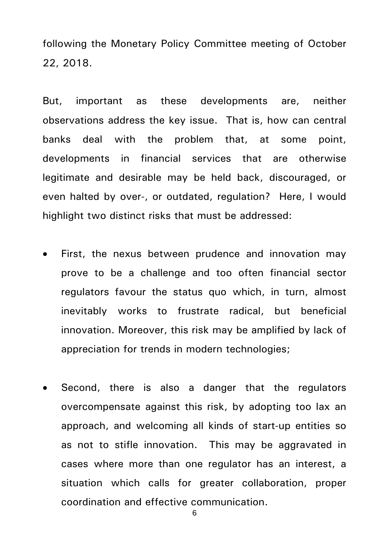following the Monetary Policy Committee meeting of October 22, 2018.

But, important as these developments are, neither observations address the key issue. That is, how can central banks deal with the problem that, at some point, developments in financial services that are otherwise legitimate and desirable may be held back, discouraged, or even halted by over-, or outdated, regulation? Here, I would highlight two distinct risks that must be addressed:

- First, the nexus between prudence and innovation may prove to be a challenge and too often financial sector regulators favour the status quo which, in turn, almost inevitably works to frustrate radical, but beneficial innovation. Moreover, this risk may be amplified by lack of appreciation for trends in modern technologies;
- Second, there is also a danger that the regulators overcompensate against this risk, by adopting too lax an approach, and welcoming all kinds of start-up entities so as not to stifle innovation. This may be aggravated in cases where more than one regulator has an interest, a situation which calls for greater collaboration, proper coordination and effective communication.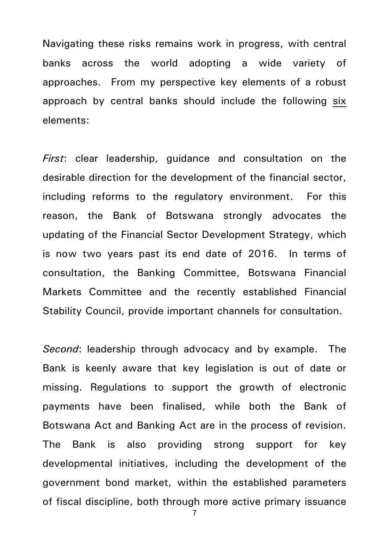Navigating these risks remains work in progress, with central banks across the world adopting a wide variety of approaches. From my perspective key elements of a robust approach by central banks should include the following six elements:

*First*: clear leadership, guidance and consultation on the desirable direction for the development of the financial sector, including reforms to the regulatory environment. For this reason, the Bank of Botswana strongly advocates the updating of the Financial Sector Development Strategy, which is now two years past its end date of 2016. In terms of consultation, the Banking Committee, Botswana Financial Markets Committee and the recently established Financial Stability Council, provide important channels for consultation.

*Second*: leadership through advocacy and by example. The Bank is keenly aware that key legislation is out of date or missing. Regulations to support the growth of electronic payments have been finalised, while both the Bank of Botswana Act and Banking Act are in the process of revision. The Bank is also providing strong support for key developmental initiatives, including the development of the government bond market, within the established parameters of fiscal discipline, both through more active primary issuance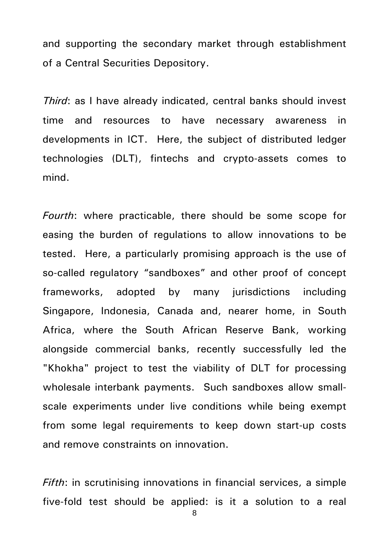and supporting the secondary market through establishment of a Central Securities Depository.

*Third*: as I have already indicated, central banks should invest time and resources to have necessary awareness in developments in ICT. Here, the subject of distributed ledger technologies (DLT), fintechs and crypto-assets comes to mind.

*Fourth*: where practicable, there should be some scope for easing the burden of regulations to allow innovations to be tested. Here, a particularly promising approach is the use of so-called regulatory "sandboxes" and other proof of concept frameworks, adopted by many jurisdictions including Singapore, Indonesia, Canada and, nearer home, in South Africa, where the South African Reserve Bank, working alongside commercial banks, recently successfully led the "Khokha" project to test the viability of DLT for processing wholesale interbank payments. Such sandboxes allow smallscale experiments under live conditions while being exempt from some legal requirements to keep down start-up costs and remove constraints on innovation.

*Fifth*: in scrutinising innovations in financial services, a simple five-fold test should be applied: is it a solution to a real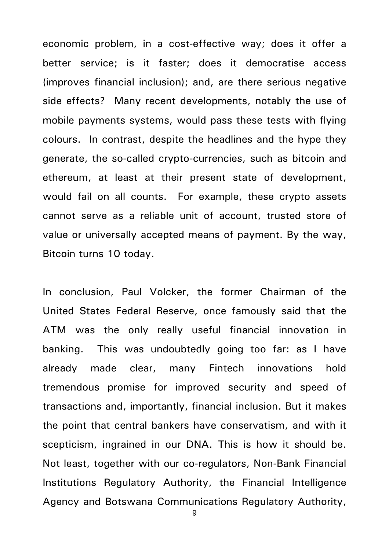economic problem, in a cost-effective way; does it offer a better service; is it faster; does it democratise access (improves financial inclusion); and, are there serious negative side effects? Many recent developments, notably the use of mobile payments systems, would pass these tests with flying colours. In contrast, despite the headlines and the hype they generate, the so-called crypto-currencies, such as bitcoin and ethereum, at least at their present state of development, would fail on all counts. For example, these crypto assets cannot serve as a reliable unit of account, trusted store of value or universally accepted means of payment. By the way, Bitcoin turns 10 today.

In conclusion, Paul Volcker, the former Chairman of the United States Federal Reserve, once famously said that the ATM was the only really useful financial innovation in banking. This was undoubtedly going too far: as I have already made clear, many Fintech innovations hold tremendous promise for improved security and speed of transactions and, importantly, financial inclusion. But it makes the point that central bankers have conservatism, and with it scepticism, ingrained in our DNA. This is how it should be. Not least, together with our co-regulators, Non-Bank Financial Institutions Regulatory Authority, the Financial Intelligence Agency and Botswana Communications Regulatory Authority,